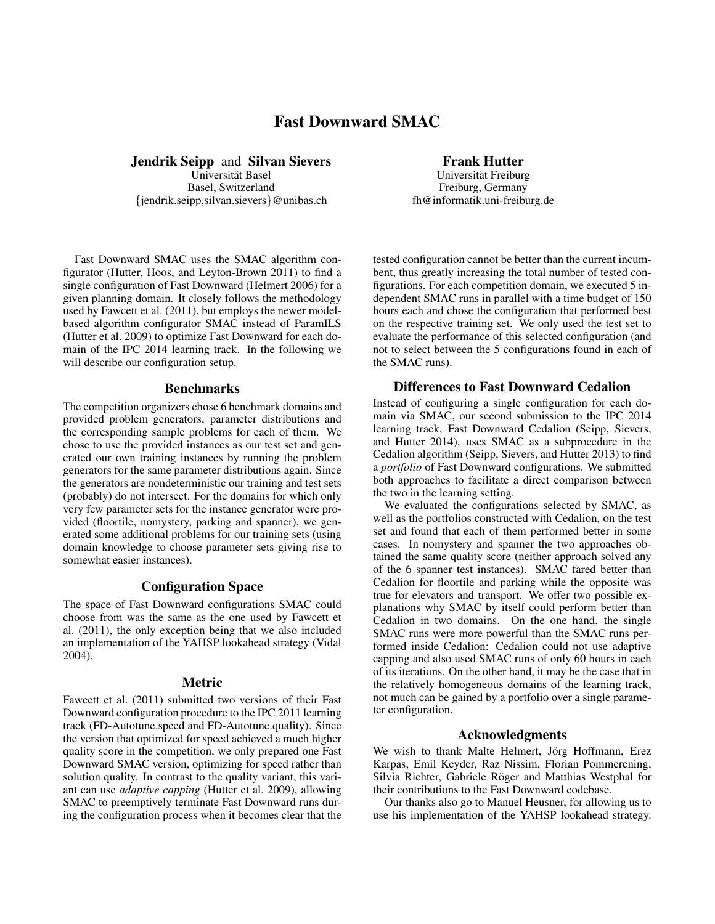# Fast Downward SMAC

Jendrik Seipp and Silvan Sievers

Universität Basel Basel, Switzerland {jendrik.seipp,silvan.sievers}@unibas.ch

Fast Downward SMAC uses the SMAC algorithm configurator (Hutter, Hoos, and Leyton-Brown 2011) to find a single configuration of Fast Downward (Helmert 2006) for a given planning domain. It closely follows the methodology used by Fawcett et al. (2011), but employs the newer modelbased algorithm configurator SMAC instead of ParamILS (Hutter et al. 2009) to optimize Fast Downward for each domain of the IPC 2014 learning track. In the following we will describe our configuration setup.

#### Benchmarks

The competition organizers chose 6 benchmark domains and provided problem generators, parameter distributions and the corresponding sample problems for each of them. We chose to use the provided instances as our test set and generated our own training instances by running the problem generators for the same parameter distributions again. Since the generators are nondeterministic our training and test sets (probably) do not intersect. For the domains for which only very few parameter sets for the instance generator were provided (floortile, nomystery, parking and spanner), we generated some additional problems for our training sets (using domain knowledge to choose parameter sets giving rise to somewhat easier instances).

## Configuration Space

The space of Fast Downward configurations SMAC could choose from was the same as the one used by Fawcett et al. (2011), the only exception being that we also included an implementation of the YAHSP lookahead strategy (Vidal 2004).

#### Metric

Fawcett et al. (2011) submitted two versions of their Fast Downward configuration procedure to the IPC 2011 learning track (FD-Autotune.speed and FD-Autotune.quality). Since the version that optimized for speed achieved a much higher quality score in the competition, we only prepared one Fast Downward SMAC version, optimizing for speed rather than solution quality. In contrast to the quality variant, this variant can use *adaptive capping* (Hutter et al. 2009), allowing SMAC to preemptively terminate Fast Downward runs during the configuration process when it becomes clear that the

## Frank Hutter

Universität Freiburg Freiburg, Germany fh@informatik.uni-freiburg.de

tested configuration cannot be better than the current incumbent, thus greatly increasing the total number of tested configurations. For each competition domain, we executed 5 independent SMAC runs in parallel with a time budget of 150 hours each and chose the configuration that performed best on the respective training set. We only used the test set to evaluate the performance of this selected configuration (and not to select between the 5 configurations found in each of the SMAC runs).

#### Differences to Fast Downward Cedalion

Instead of configuring a single configuration for each domain via SMAC, our second submission to the IPC 2014 learning track, Fast Downward Cedalion (Seipp, Sievers, and Hutter 2014), uses SMAC as a subprocedure in the Cedalion algorithm (Seipp, Sievers, and Hutter 2013) to find a *portfolio* of Fast Downward configurations. We submitted both approaches to facilitate a direct comparison between the two in the learning setting.

We evaluated the configurations selected by SMAC, as well as the portfolios constructed with Cedalion, on the test set and found that each of them performed better in some cases. In nomystery and spanner the two approaches obtained the same quality score (neither approach solved any of the 6 spanner test instances). SMAC fared better than Cedalion for floortile and parking while the opposite was true for elevators and transport. We offer two possible explanations why SMAC by itself could perform better than Cedalion in two domains. On the one hand, the single SMAC runs were more powerful than the SMAC runs performed inside Cedalion: Cedalion could not use adaptive capping and also used SMAC runs of only 60 hours in each of its iterations. On the other hand, it may be the case that in the relatively homogeneous domains of the learning track, not much can be gained by a portfolio over a single parameter configuration.

#### Acknowledgments

We wish to thank Malte Helmert, Jörg Hoffmann, Erez Karpas, Emil Keyder, Raz Nissim, Florian Pommerening, Silvia Richter, Gabriele Röger and Matthias Westphal for their contributions to the Fast Downward codebase.

Our thanks also go to Manuel Heusner, for allowing us to use his implementation of the YAHSP lookahead strategy.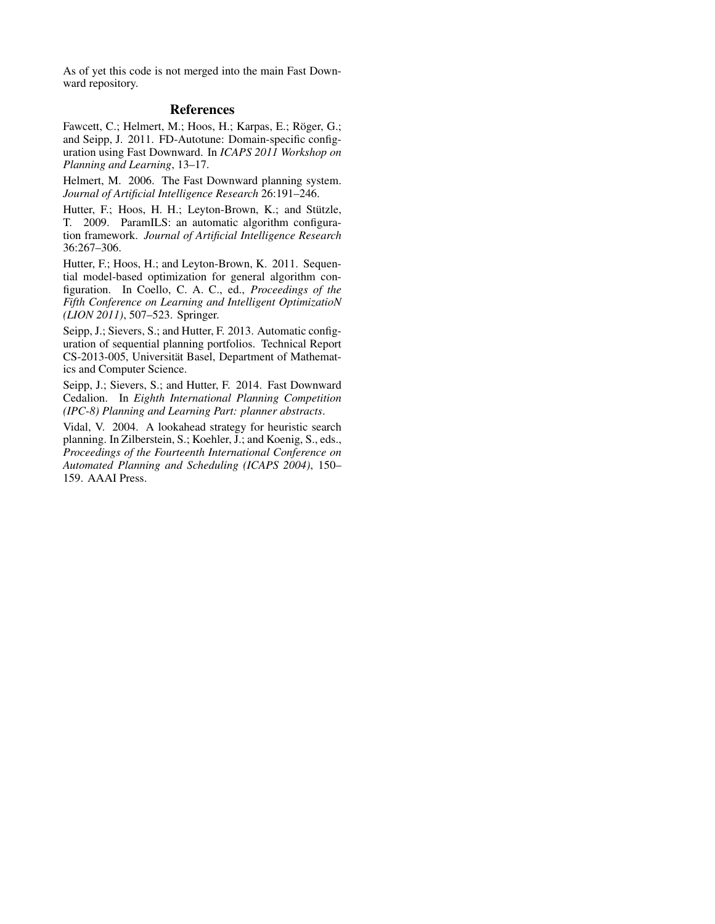As of yet this code is not merged into the main Fast Downward repository.

# References

Fawcett, C.; Helmert, M.; Hoos, H.; Karpas, E.; Röger, G.; and Seipp, J. 2011. FD-Autotune: Domain-specific configuration using Fast Downward. In *ICAPS 2011 Workshop on Planning and Learning*, 13–17.

Helmert, M. 2006. The Fast Downward planning system. *Journal of Artificial Intelligence Research* 26:191–246.

Hutter, F.; Hoos, H. H.; Leyton-Brown, K.; and Stützle, T. 2009. ParamILS: an automatic algorithm configuration framework. *Journal of Artificial Intelligence Research* 36:267–306.

Hutter, F.; Hoos, H.; and Leyton-Brown, K. 2011. Sequential model-based optimization for general algorithm configuration. In Coello, C. A. C., ed., *Proceedings of the Fifth Conference on Learning and Intelligent OptimizatioN (LION 2011)*, 507–523. Springer.

Seipp, J.; Sievers, S.; and Hutter, F. 2013. Automatic configuration of sequential planning portfolios. Technical Report CS-2013-005, Universität Basel, Department of Mathematics and Computer Science.

Seipp, J.; Sievers, S.; and Hutter, F. 2014. Fast Downward Cedalion. In *Eighth International Planning Competition (IPC-8) Planning and Learning Part: planner abstracts*.

Vidal, V. 2004. A lookahead strategy for heuristic search planning. In Zilberstein, S.; Koehler, J.; and Koenig, S., eds., *Proceedings of the Fourteenth International Conference on Automated Planning and Scheduling (ICAPS 2004)*, 150– 159. AAAI Press.